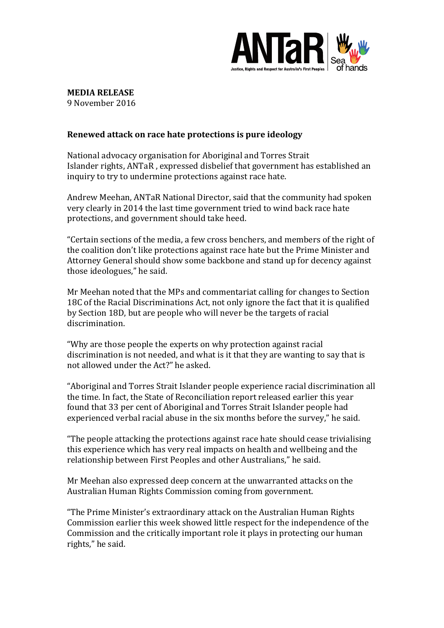

## **MEDIA RELEASE**

9 November 2016

## **Renewed attack on race hate protections is pure ideology**

National advocacy organisation for Aboriginal and Torres Strait Islander rights, ANTaR, expressed disbelief that government has established an inquiry to try to undermine protections against race hate.

Andrew Meehan, ANTaR National Director, said that the community had spoken very clearly in 2014 the last time government tried to wind back race hate protections, and government should take heed.

"Certain sections of the media, a few cross benchers, and members of the right of the coalition don't like protections against race hate but the Prime Minister and Attorney General should show some backbone and stand up for decency against those ideologues," he said.

Mr Meehan noted that the MPs and commentariat calling for changes to Section 18C of the Racial Discriminations Act, not only ignore the fact that it is qualified by Section 18D, but are people who will never be the targets of racial discrimination. 

"Why are those people the experts on why protection against racial discrimination is not needed, and what is it that they are wanting to say that is not allowed under the Act?" he asked.

"Aboriginal and Torres Strait Islander people experience racial discrimination all the time. In fact, the State of Reconciliation report released earlier this year found that 33 per cent of Aboriginal and Torres Strait Islander people had experienced verbal racial abuse in the six months before the survey," he said.

"The people attacking the protections against race hate should cease trivialising this experience which has very real impacts on health and wellbeing and the relationship between First Peoples and other Australians," he said.

Mr Meehan also expressed deep concern at the unwarranted attacks on the Australian Human Rights Commission coming from government.

"The Prime Minister's extraordinary attack on the Australian Human Rights Commission earlier this week showed little respect for the independence of the Commission and the critically important role it plays in protecting our human rights," he said.